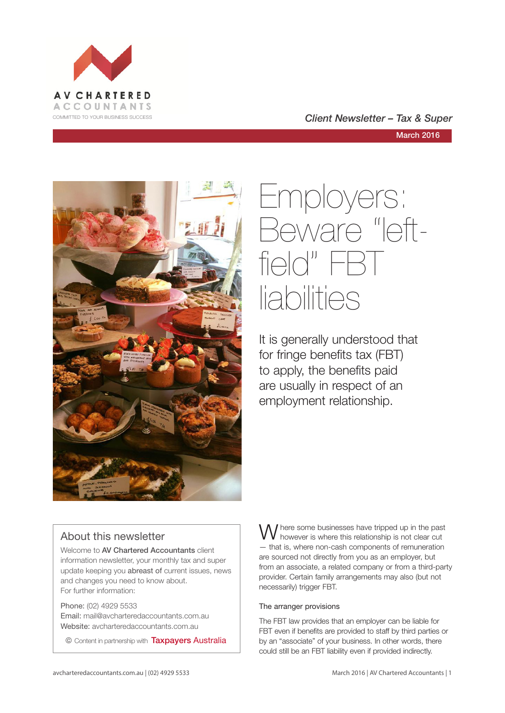

COMMITTED TO YOUR BUSINESS SUCCESS **COMMITTED TO YOUR BUSINESS SUCCESS** 

March 2016



## Employers: Beware "leftfield" FBT liabilities

It is generally understood that for fringe benefits tax (FBT) to apply, the benefits paid are usually in respect of an employment relationship.

## About this newsletter

Welcome to AV Chartered Accountants client information newsletter, your monthly tax and super update keeping you abreast of current issues, news and changes you need to know about. For further information:

Phone: (02) 4929 5533 Email: mail@avcharteredaccountants.com.au Website: avcharteredaccountants.com.au

© Content in partnership with Taxpayers Australia

W here some businesses have tripped up in the past however is where this relationship is not clear cut — that is, where non-cash components of remuneration are sourced not directly from you as an employer, but from an associate, a related company or from a third-party provider. Certain family arrangements may also (but not necessarily) trigger FBT.

### The arranger provisions

The FBT law provides that an employer can be liable for FBT even if benefits are provided to staff by third parties or by an "associate" of your business. In other words, there could still be an FBT liability even if provided indirectly.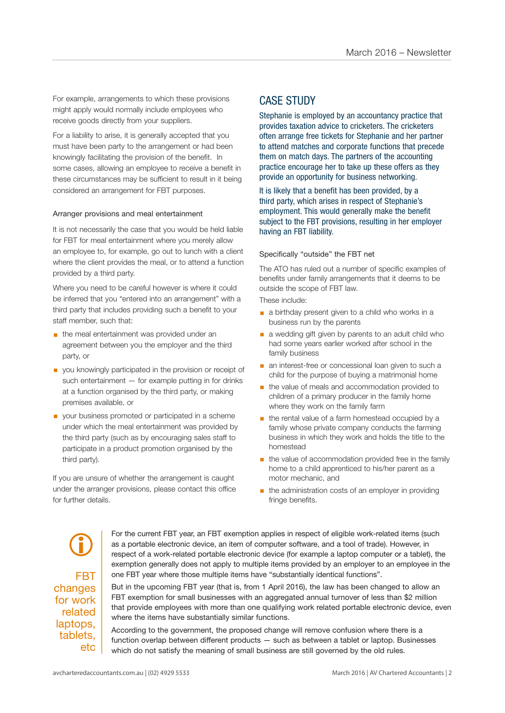For example, arrangements to which these provisions might apply would normally include employees who receive goods directly from your suppliers.

For a liability to arise, it is generally accepted that you must have been party to the arrangement or had been knowingly facilitating the provision of the benefit. In some cases, allowing an employee to receive a benefit in these circumstances may be sufficient to result in it being considered an arrangement for FBT purposes.

#### Arranger provisions and meal entertainment

It is not necessarily the case that you would be held liable for FBT for meal entertainment where you merely allow an employee to, for example, go out to lunch with a client where the client provides the meal, or to attend a function provided by a third party.

Where you need to be careful however is where it could be inferred that you "entered into an arrangement" with a third party that includes providing such a benefit to your staff member, such that:

- **the meal entertainment was provided under an** agreement between you the employer and the third party, or
- you knowingly participated in the provision or receipt of such entertainment — for example putting in for drinks at a function organised by the third party, or making premises available, or
- your business promoted or participated in a scheme under which the meal entertainment was provided by the third party (such as by encouraging sales staff to participate in a product promotion organised by the third party).

If you are unsure of whether the arrangement is caught under the arranger provisions, please contact this office for further details.

## CASE STUDY

Stephanie is employed by an accountancy practice that provides taxation advice to cricketers. The cricketers often arrange free tickets for Stephanie and her partner to attend matches and corporate functions that precede them on match days. The partners of the accounting practice encourage her to take up these offers as they provide an opportunity for business networking.

It is likely that a benefit has been provided, by a third party, which arises in respect of Stephanie's employment. This would generally make the benefit subject to the FBT provisions, resulting in her employer having an FBT liability.

#### Specifically "outside" the FBT net

The ATO has ruled out a number of specific examples of benefits under family arrangements that it deems to be outside the scope of FBT law.

These include:

- a birthday present given to a child who works in a business run by the parents
- a wedding gift given by parents to an adult child who had some years earlier worked after school in the family business
- **a** an interest-free or concessional loan given to such a child for the purpose of buying a matrimonial home
- the value of meals and accommodation provided to children of a primary producer in the family home where they work on the family farm
- the rental value of a farm homestead occupied by a family whose private company conducts the farming business in which they work and holds the title to the homestead
- **•** the value of accommodation provided free in the family home to a child apprenticed to his/her parent as a motor mechanic, and
- the administration costs of an employer in providing fringe benefits.

FBT changes for work related laptops, tablets, etc  $\bigcirc$ 

For the current FBT year, an FBT exemption applies in respect of eligible work-related items (such as a portable electronic device, an item of computer software, and a tool of trade). However, in respect of a work-related portable electronic device (for example a laptop computer or a tablet), the exemption generally does not apply to multiple items provided by an employer to an employee in the one FBT year where those multiple items have "substantially identical functions".

But in the upcoming FBT year (that is, from 1 April 2016), the law has been changed to allow an FBT exemption for small businesses with an aggregated annual turnover of less than \$2 million that provide employees with more than one qualifying work related portable electronic device, even where the items have substantially similar functions.

According to the government, the proposed change will remove confusion where there is a function overlap between different products — such as between a tablet or laptop. Businesses which do not satisfy the meaning of small business are still governed by the old rules.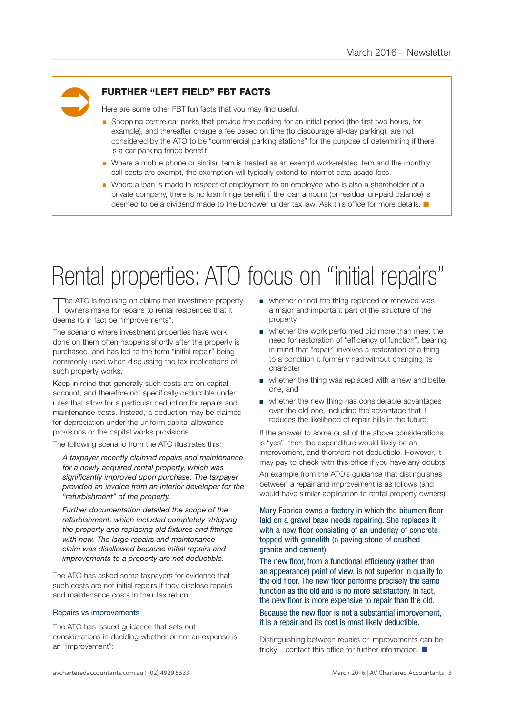# Ü

## FURTHER "LEFT FIELD" FBT FACTS

Here are some other FBT fun facts that you may find useful.

- § Shopping centre car parks that provide free parking for an initial period (the first two hours, for example), and thereafter charge a fee based on time (to discourage all-day parking), are not considered by the ATO to be "commercial parking stations" for the purpose of determining if there is a car parking fringe benefit.
- Where a mobile phone or similar item is treated as an exempt work-related item and the monthly call costs are exempt, the exemption will typically extend to internet data usage fees.
- Where a loan is made in respect of employment to an employee who is also a shareholder of a private company, there is no loan fringe benefit if the loan amount (or residual un-paid balance) is deemed to be a dividend made to the borrower under tax law. Ask this office for more details.  $\blacksquare$

## Rental properties: ATO focus on "initial repairs"

The ATO is focusing on claims that investment property owners make for repairs to rental residences that it deems to in fact be "improvements".

The scenario where investment properties have work done on them often happens shortly after the property is purchased, and has led to the term "initial repair" being commonly used when discussing the tax implications of such property works.

Keep in mind that generally such costs are on capital account, and therefore not specifically deductible under rules that allow for a particular deduction for repairs and maintenance costs. Instead, a deduction may be claimed for depreciation under the uniform capital allowance provisions or the capital works provisions.

The following scenario from the ATO illustrates this:

*A taxpayer recently claimed repairs and maintenance for a newly acquired rental property, which was significantly improved upon purchase. The taxpayer provided an invoice from an interior developer for the "refurbishment" of the property.* 

*Further documentation detailed the scope of the refurbishment, which included completely stripping the property and replacing old fixtures and fittings with new. The large repairs and maintenance claim was disallowed because initial repairs and improvements to a property are not deductible.*

The ATO has asked some taxpayers for evidence that such costs are not initial repairs if they disclose repairs and maintenance costs in their tax return.

#### Repairs vs improvements

The ATO has issued guidance that sets out considerations in deciding whether or not an expense is an "improvement":

- whether or not the thing replaced or renewed was a major and important part of the structure of the property
- whether the work performed did more than meet the need for restoration of "efficiency of function", bearing in mind that "repair" involves a restoration of a thing to a condition it formerly had without changing its character
- whether the thing was replaced with a new and better one, and
- whether the new thing has considerable advantages over the old one, including the advantage that it reduces the likelihood of repair bills in the future.

If the answer to some or all of the above considerations is "yes", then the expenditure would likely be an improvement, and therefore not deductible. However, it may pay to check with this office if you have any doubts.

An example from the ATO's guidance that distinguishes between a repair and improvement is as follows (and would have similar application to rental property owners):

Mary Fabrica owns a factory in which the bitumen floor laid on a gravel base needs repairing. She replaces it with a new floor consisting of an underlay of concrete topped with granolith (a paving stone of crushed granite and cement).

The new floor, from a functional efficiency (rather than an appearance) point of view, is not superior in quality to the old floor. The new floor performs precisely the same function as the old and is no more satisfactory. In fact, the new floor is more expensive to repair than the old.

Because the new floor is not a substantial improvement, it is a repair and its cost is most likely deductible.

Distinguishing between repairs or improvements can be tricky – contact this office for further information.  $\blacksquare$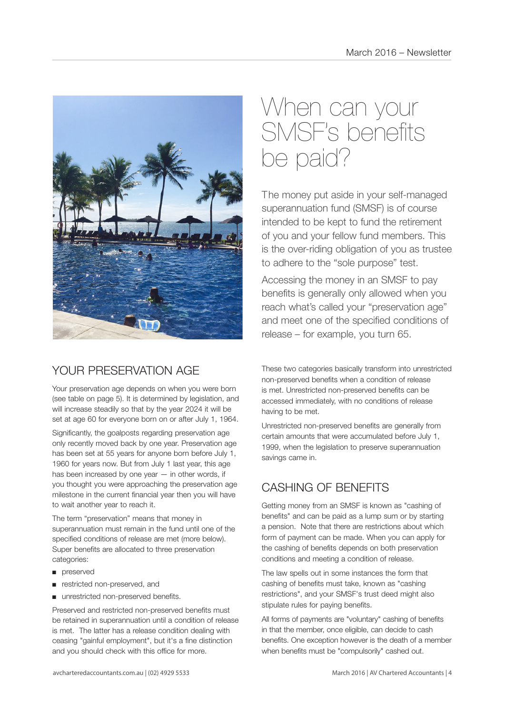

## YOUR PRESERVATION AGE

Your preservation age depends on when you were born (see table on page 5). It is determined by legislation, and will increase steadily so that by the year 2024 it will be set at age 60 for everyone born on or after July 1, 1964.

Significantly, the goalposts regarding preservation age only recently moved back by one year. Preservation age has been set at 55 years for anyone born before July 1, 1960 for years now. But from July 1 last year, this age has been increased by one year — in other words, if you thought you were approaching the preservation age milestone in the current financial year then you will have to wait another year to reach it.

The term "preservation" means that money in superannuation must remain in the fund until one of the specified conditions of release are met (more below). Super benefits are allocated to three preservation categories:

- preserved
- restricted non-preserved, and
- unrestricted non-preserved benefits.

Preserved and restricted non-preserved benefits must be retained in superannuation until a condition of release is met. The latter has a release condition dealing with ceasing "gainful employment", but it's a fine distinction and you should check with this office for more.

## When can your SMSF's benefits be paid?

The money put aside in your self-managed superannuation fund (SMSF) is of course intended to be kept to fund the retirement of you and your fellow fund members. This is the over-riding obligation of you as trustee to adhere to the "sole purpose" test.

Accessing the money in an SMSF to pay benefits is generally only allowed when you reach what's called your "preservation age" and meet one of the specified conditions of release – for example, you turn 65.

These two categories basically transform into unrestricted non-preserved benefits when a condition of release is met. Unrestricted non-preserved benefits can be accessed immediately, with no conditions of release having to be met.

Unrestricted non-preserved benefits are generally from certain amounts that were accumulated before July 1, 1999, when the legislation to preserve superannuation savings came in.

## CASHING OF BENEFITS

Getting money from an SMSF is known as "cashing of benefits" and can be paid as a lump sum or by starting a pension. Note that there are restrictions about which form of payment can be made. When you can apply for the cashing of benefits depends on both preservation conditions and meeting a condition of release.

The law spells out in some instances the form that cashing of benefits must take, known as "cashing restrictions", and your SMSF's trust deed might also stipulate rules for paying benefits.

All forms of payments are "voluntary" cashing of benefits in that the member, once eligible, can decide to cash benefits. One exception however is the death of a member when benefits must be "compulsorily" cashed out.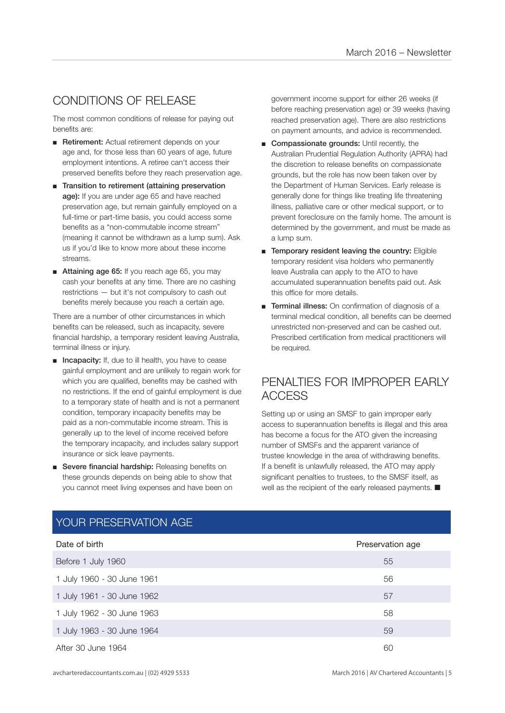## CONDITIONS OF RELEASE

The most common conditions of release for paying out benefits are:

- Retirement: Actual retirement depends on your age and, for those less than 60 years of age, future employment intentions. A retiree can't access their preserved benefits before they reach preservation age.
- Transition to retirement (attaining preservation age): If you are under age 65 and have reached preservation age, but remain gainfully employed on a full-time or part-time basis, you could access some benefits as a "non-commutable income stream" (meaning it cannot be withdrawn as a lump sum). Ask us if you'd like to know more about these income streams.
- Attaining age 65: If you reach age 65, you may cash your benefits at any time. There are no cashing restrictions — but it's not compulsory to cash out benefits merely because you reach a certain age.

There are a number of other circumstances in which benefits can be released, such as incapacity, severe financial hardship, a temporary resident leaving Australia, terminal illness or injury.

- Incapacity: If, due to ill health, you have to cease gainful employment and are unlikely to regain work for which you are qualified, benefits may be cashed with no restrictions. If the end of gainful employment is due to a temporary state of health and is not a permanent condition, temporary incapacity benefits may be paid as a non-commutable income stream. This is generally up to the level of income received before the temporary incapacity, and includes salary support insurance or sick leave payments.
- Severe financial hardship: Releasing benefits on these grounds depends on being able to show that you cannot meet living expenses and have been on

government income support for either 26 weeks (if before reaching preservation age) or 39 weeks (having reached preservation age). There are also restrictions on payment amounts, and advice is recommended.

- Compassionate grounds: Until recently, the Australian Prudential Regulation Authority (APRA) had the discretion to release benefits on compassionate grounds, but the role has now been taken over by the Department of Human Services. Early release is generally done for things like treating life threatening illness, palliative care or other medical support, or to prevent foreclosure on the family home. The amount is determined by the government, and must be made as a lump sum.
- Temporary resident leaving the country: Eligible temporary resident visa holders who permanently leave Australia can apply to the ATO to have accumulated superannuation benefits paid out. Ask this office for more details.
- Terminal illness: On confirmation of diagnosis of a terminal medical condition, all benefits can be deemed unrestricted non-preserved and can be cashed out. Prescribed certification from medical practitioners will be required.

## PENALTIES FOR IMPROPER EARLY ACCESS

Setting up or using an SMSF to gain improper early access to superannuation benefits is illegal and this area has become a focus for the ATO given the increasing number of SMSFs and the apparent variance of trustee knowledge in the area of withdrawing benefits. If a benefit is unlawfully released, the ATO may apply significant penalties to trustees, to the SMSF itself, as well as the recipient of the early released payments.  $\blacksquare$ 

| Date of birth              | Preservation age |
|----------------------------|------------------|
| Before 1 July 1960         | 55               |
| 1 July 1960 - 30 June 1961 | 56               |
| 1 July 1961 - 30 June 1962 | 57               |
| 1 July 1962 - 30 June 1963 | 58               |
| 1 July 1963 - 30 June 1964 | 59               |
| After 30 June 1964         | 60               |

## YOUR PRESERVATION AGE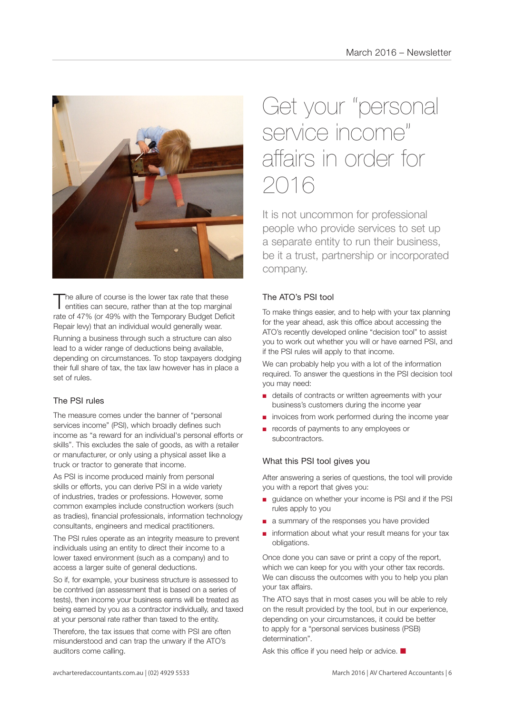

The allure of course is the lower tax rate that these<br>entities can secure, rather than at the top marginal rate of 47% (or 49% with the Temporary Budget Deficit Repair levy) that an individual would generally wear.

Running a business through such a structure can also lead to a wider range of deductions being available, depending on circumstances. To stop taxpayers dodging their full share of tax, the tax law however has in place a set of rules.

## The PSI rules

The measure comes under the banner of "personal services income" (PSI), which broadly defines such income as "a reward for an individual's personal efforts or skills". This excludes the sale of goods, as with a retailer or manufacturer, or only using a physical asset like a truck or tractor to generate that income.

As PSI is income produced mainly from personal skills or efforts, you can derive PSI in a wide variety of industries, trades or professions. However, some common examples include construction workers (such as tradies), financial professionals, information technology consultants, engineers and medical practitioners.

The PSI rules operate as an integrity measure to prevent individuals using an entity to direct their income to a lower taxed environment (such as a company) and to access a larger suite of general deductions.

So if, for example, your business structure is assessed to be contrived (an assessment that is based on a series of tests), then income your business earns will be treated as being earned by you as a contractor individually, and taxed at your personal rate rather than taxed to the entity.

Therefore, the tax issues that come with PSI are often misunderstood and can trap the unwary if the ATO's auditors come calling.

## Get your "personal service income" affairs in order for 2016

It is not uncommon for professional people who provide services to set up a separate entity to run their business, be it a trust, partnership or incorporated company.

## The ATO's PSI tool

To make things easier, and to help with your tax planning for the year ahead, ask this office about accessing the ATO's recently developed online "decision tool" to assist you to work out whether you will or have earned PSI, and if the PSI rules will apply to that income.

We can probably help you with a lot of the information required. To answer the questions in the PSI decision tool you may need:

- details of contracts or written agreements with your business's customers during the income year
- invoices from work performed during the income year
- records of payments to any employees or subcontractors.

### What this PSI tool gives you

After answering a series of questions, the tool will provide you with a report that gives you:

- quidance on whether your income is PSI and if the PSI rules apply to you
- a summary of the responses you have provided
- information about what your result means for your tax obligations.

Once done you can save or print a copy of the report, which we can keep for you with your other tax records. We can discuss the outcomes with you to help you plan your tax affairs.

The ATO says that in most cases you will be able to rely on the result provided by the tool, but in our experience, depending on your circumstances, it could be better to apply for a "personal services business (PSB) determination".

Ask this office if you need help or advice.  $\blacksquare$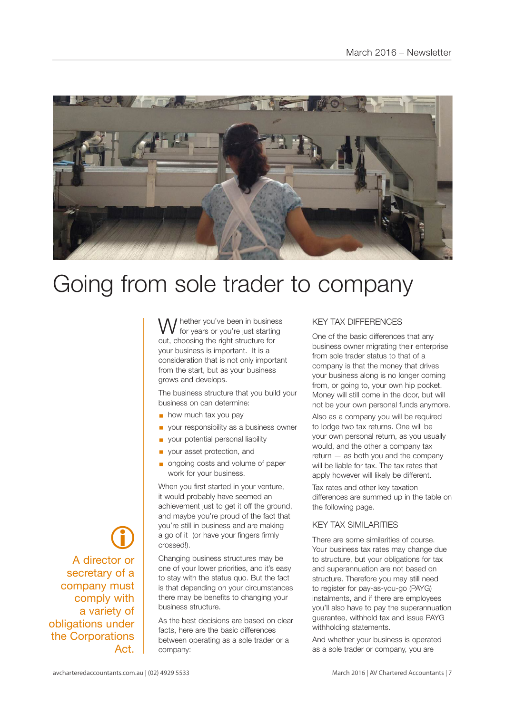

## Going from sole trader to company

I hether you've been in business for years or you're just starting out, choosing the right structure for your business is important. It is a consideration that is not only important from the start, but as your business grows and develops.

The business structure that you build your business on can determine:

- $\blacksquare$  how much tax you pay
- § your responsibility as a business owner
- § your potential personal liability
- § your asset protection, and
- § ongoing costs and volume of paper work for your business.

When you first started in your venture, it would probably have seemed an achievement just to get it off the ground. and maybe you're proud of the fact that you're still in business and are making a go of it (or have your fingers firmly crossed!).

Changing business structures may be one of your lower priorities, and it's easy to stay with the status quo. But the fact is that depending on your circumstances there may be benefits to changing your business structure.

As the best decisions are based on clear facts, here are the basic differences between operating as a sole trader or a company:

#### KEY TAX DIFFERENCES

One of the basic differences that any business owner migrating their enterprise from sole trader status to that of a company is that the money that drives your business along is no longer coming from, or going to, your own hip pocket. Money will still come in the door, but will not be your own personal funds anymore.

Also as a company you will be required to lodge two tax returns. One will be your own personal return, as you usually would, and the other a company tax return — as both you and the company will be liable for tax. The tax rates that apply however will likely be different.

Tax rates and other key taxation differences are summed up in the table on the following page.

#### KEY TAX SIMILARITIES

There are some similarities of course. Your business tax rates may change due to structure, but your obligations for tax and superannuation are not based on structure. Therefore you may still need to register for pay-as-you-go (PAYG) instalments, and if there are employees you'll also have to pay the superannuation guarantee, withhold tax and issue PAYG withholding statements.

And whether your business is operated as a sole trader or company, you are

 $\bigcirc$ A director or secretary of a company must comply with a variety of obligations under the Corporations Act.